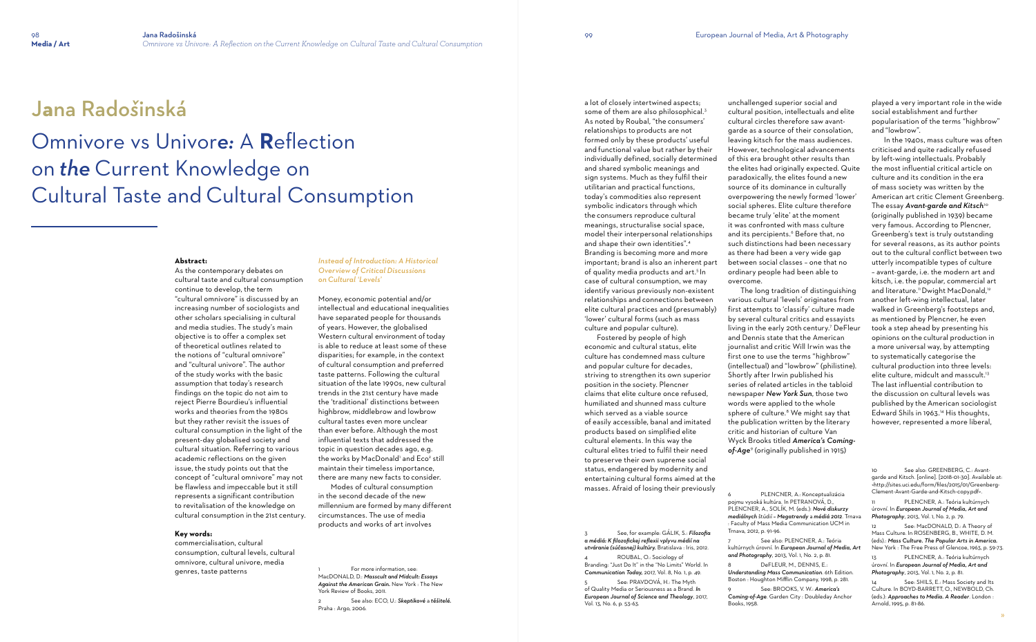# J**a**na Rad*oš*inská

## Omnivore vs Univor*e:* A **R**eflection on *the* Current Knowledge on Cultural Taste and Cultural Consumption

#### **Abstract:**

As the contemporary debates on cultural taste and cultural consumption continue to develop, the term "cultural omnivore" is discussed by an increasing number of sociologists and other scholars specialising in cultural and media studies. The study's main objective is to offer a complex set of theoretical outlines related to the notions of "cultural omnivore" and "cultural univore". The author of the study works with the basic assumption that today's research findings on the topic do not aim to reject Pierre Bourdieu's influential works and theories from the 1980s but they rather revisit the issues of cultural consumption in the light of the present-day globalised society and cultural situation. Referring to various academic reflections on the given issue, the study points out that the concept of "cultural omnivore" may not be flawless and impeccable but it still represents a significant contribution to revitalisation of the knowledge on cultural consumption in the 21st century.

> For more information, see: MacDONALD, D.: *Masscult and Midcult: Essays Against the American Grain.* New York : The New York Review of Books, 2011.

#### **Key words:**

commercialisation, cultural consumption, cultural levels, cultural omnivore, cultural univore, media genres, taste patterns

#### *Instead of Introduction: A Historical Overview of Critical Discussions on Cultural 'Levels'*

Money, economic potential and/or intellectual and educational inequalities have separated people for thousands of years. However, the globalised Western cultural environment of today is able to reduce at least some of these disparities; for example, in the context of cultural consumption and preferred taste patterns. Following the cultural situation of the late 1990s, new cultural trends in the 21st century have made the 'traditional' distinctions between highbrow, middlebrow and lowbrow cultural tastes even more unclear than ever before. Although the most influential texts that addressed the topic in question decades ago, e.g. the works by MacDonald' and Eco<sup>2</sup> still maintain their timeless importance, there are many new facts to consider.

 Modes of cultural consumption in the second decade of the new millennium are formed by many different circumstances. The use of media products and works of art involves

2 See also: ECO, U.: *Skeptikové* a *těšitelé.*  Praha : Argo, 2006.

a lot of closely intertwined aspects; some of them are also philosophical.3 As noted by Roubal, "the consumers' relationships to products are not formed only by these products' useful and functional value but rather by their individually defined, socially determined and shared symbolic meanings and sign systems. Much as they fulfil their utilitarian and practical functions, today's commodities also represent symbolic indicators through which the consumers reproduce cultural meanings, structuralise social space, model their interpersonal relationships and shape their own identities".<sup>4</sup> Branding is becoming more and more important; brand is also an inherent part of quality media products and art.5 In case of cultural consumption, we may identify various previously non-existent relationships and connections between elite cultural practices and (presumably) 'lower' cultural forms (such as mass culture and popular culture).

 Fostered by people of high economic and cultural status, elite culture has condemned mass culture and popular culture for decades, striving to strengthen its own superior position in the society. Plencner claims that elite culture once refused, humiliated and shunned mass culture which served as a viable source of easily accessible, banal and imitated products based on simplified elite cultural elements. In this way the cultural elites tried to fulfil their need to preserve their own supreme social status, endangered by modernity and entertaining cultural forms aimed at the masses. Afraid of losing their previously

See also: GREENBERG, C.: Avantgarde and Kitsch. [online]. [2018-01-30]. Available at: <http://sites.uci.edu/form/files/2015/01/Greenberg-Clement-Avant-Garde-and-Kitsch-copy.pdf>.

PLENCNER, A.: Teória kultúrnych úrovní. In *European Journal of Media, Art and Photography*, 2013, Vol. 1, No. 2, p. 79.

3 See, for example: GÁLIK, S.: *Filozofia a médiá: K filozofickej reflexii vplyvu médií na utváranie (súčasnej) kultúry.* Bratislava : Iris, 2012. 4 ROUBAL, O.: Sociology of Branding: "Just Do It" in the "No Limits" World. In

> 14 See: SHILS, E.: Mass Society and Its Culture. In BOYD-BARRETT, O., NEWBOLD, Ch. (eds.): *Approaches to Media. A Reader*. London : Arnold, 1995, p. 81-86.

*Communication Today,* 2017, Vol. 8, No. 1, p. 49. 5 See: PRAVDOVÁ, H.: The Myth of Quality Media or Seriousness as a Brand. *In European Journal of Science and Theology*, 2017,

Vol. 13, No. 6, p. 53-63.

unchallenged superior social and cultural position, intellectuals and elite cultural circles therefore saw avantgarde as a source of their consolation, leaving kitsch for the mass audiences. However, technological advancements of this era brought other results than the elites had originally expected. Quite paradoxically, the elites found a new source of its dominance in culturally overpowering the newly formed 'lower' social spheres. Elite culture therefore became truly 'elite' at the moment it was confronted with mass culture and its percipients.<sup>6</sup> Before that, no such distinctions had been necessary as there had been a very wide gap between social classes – one that no ordinary people had been able to overcome.

The long tradition of distinguishing various cultural 'levels' originates from first attempts to 'classify' culture made by several cultural critics and essayists living in the early 20th century.<sup>7</sup> DeFleur and Dennis state that the American journalist and critic Will Irwin was the first one to use the terms "highbrow" (intellectual) and "lowbrow" (philistine). Shortly after Irwin published his series of related articles in the tabloid newspaper *New York Sun*, those two words were applied to the whole sphere of culture.<sup>8</sup> We might say that the publication written by the literary critic and historian of culture Van Wyck Brooks titled *America's Comingof-Age*<sup>9</sup> (originally published in 1915)

6 PLENCNER, A.: Konceptualizácia pojmu vysoká kultúra. In PETRANOVÁ, D., PLENCNER, A., SOLÍK, M. (eds.): *Nové diskurzy mediálnych* štúdií *– Megatrendy* a *médiá 2012*. Trnava : Faculty of Mass Media Communication UCM in

Trnava, 2012, p. 91-96. 7 See also: PLENCNER, A.: Teória kultúrnych úrovní. In *European Journal of Media, Art and Photography*, 2013, Vol. 1, No. 2, p. 81. 8 DeFLEUR, M., DENNIS, E.: *Understanding Mass Communication*. 6th Edition. Boston : Houghton Mifflin Company, 1998, p. 281.

9 See: BROOKS, V. W.: *America's Coming-of-Age*. Garden City : Doubleday Anchor Books, 1958.

played a very important role in the wide social establishment and further popularisation of the terms "highbrow" and "lowbrow".

 In the 1940s, mass culture was often criticised and quite radically refused by left-wing intellectuals. Probably the most influential critical article on culture and its condition in the era of mass society was written by the American art critic Clement Greenberg. The essay *Avant-garde and Kitsch* 10 (originally published in 1939) became very famous. According to Plencner, Greenberg's text is truly outstanding for several reasons, as its author points out to the cultural conflict between two utterly incompatible types of culture – avant-garde, i.e. the modern art and kitsch, i.e. the popular, commercial art and literature." Dwight MacDonald,<sup>12</sup> another left-wing intellectual, later walked in Greenberg's footsteps and, as mentioned by Plencner, he even took a step ahead by presenting his opinions on the cultural production in a more universal way, by attempting to systematically categorise the cultural production into three levels: elite culture, midcult and masscult. 13 The last influential contribution to the discussion on cultural levels was published by the American sociologist Edward Shils in 1963. 14 His thoughts, however, represented a more liberal,

12 See: MacDONALD, D.: A Theory of Mass Culture. In ROSENBERG, B., WHITE, D. M. (eds).: *Mass Culture. The Popular Arts in America.*  New York : The Free Press of Glencoe, 1963, p. 59-73. 13 PLENCNER, A.: Teória kultúrnych úrovní. In *European Journal of Media, Art and Photography*, 2013, Vol. 1, No. 2, p. 81.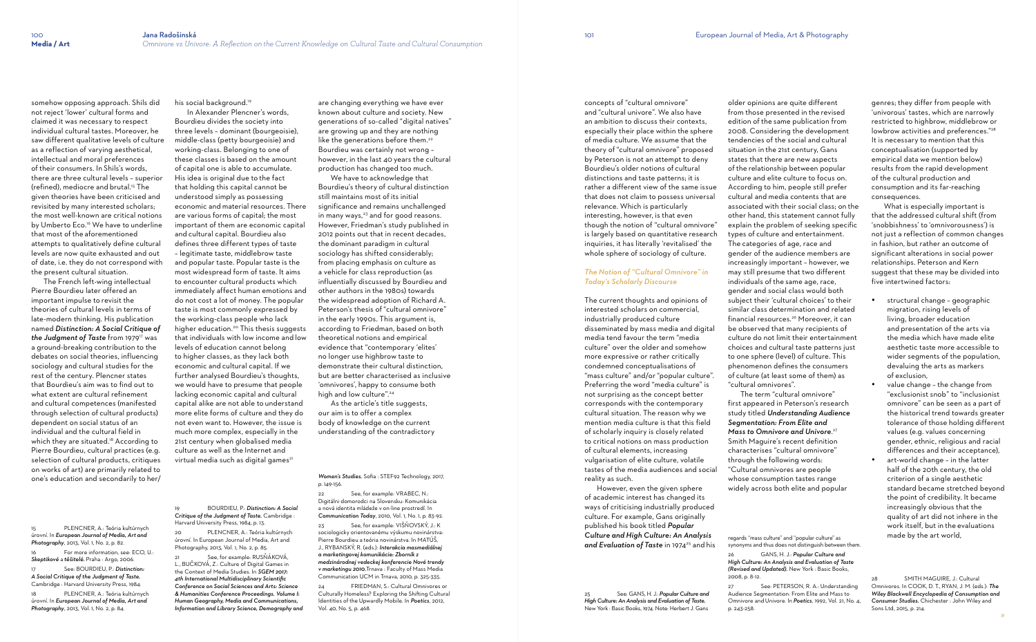somehow opposing approach. Shils did not reject 'lower' cultural forms and claimed it was necessary to respect individual cultural tastes. Moreover, he saw different qualitative levels of culture as a reflection of varying aesthetical, intellectual and moral preferences of their consumers. In Shils's words, there are three cultural levels – superior (refined), mediocre and brutal.<sup>15</sup> The given theories have been criticised and revisited by many interested scholars; the most well-known are critical notions by Umberto Eco.<sup>16</sup> We have to underline that most of the aforementioned attempts to qualitatively define cultural levels are now quite exhausted and out of date, i.e. they do not correspond with the present cultural situation.

 In Alexander Plencner's words, Bourdieu divides the society into three levels – dominant (bourgeoisie), middle-class (petty bourgeoisie) and working-class. Belonging to one of these classes is based on the amount of capital one is able to accumulate. His idea is original due to the fact that holding this capital cannot be understood simply as possessing economic and material resources. There are various forms of capital; the most important of them are economic capital and cultural capital. Bourdieu also defines three different types of taste – legitimate taste, middlebrow taste and popular taste. Popular taste is the most widespread form of taste. It aims to encounter cultural products which immediately affect human emotions and do not cost a lot of money. The popular taste is most commonly expressed by the working-class people who lack higher education.<sup>20</sup> This thesis suggests that individuals with low income and low levels of education cannot belong to higher classes, as they lack both economic and cultural capital. If we further analysed Bourdieu's thoughts, we would have to presume that people lacking economic capital and cultural capital alike are not able to understand more elite forms of culture and they do not even want to. However, the issue is much more complex, especially in the 21st century when globalised media culture as well as the Internet and virtual media such as digital games<sup>21</sup>

 The French left-wing intellectual Pierre Bourdieu later offered an important impulse to revisit the theories of cultural levels in terms of late-modern thinking. His publication named *Distinction: A Social Critique of*  the Judgment of Taste from 1979<sup>17</sup> was a ground-breaking contribution to the debates on social theories, influencing sociology and cultural studies for the rest of the century. Plencner states that Bourdieu's aim was to find out to what extent are cultural refinement and cultural competences (manifested through selection of cultural products) dependent on social status of an individual and the cultural field in which they are situated.<sup>18</sup> According to Pierre Bourdieu, cultural practices (e.g. selection of cultural products, critiques on works of art) are primarily related to one's education and secondarily to her/

15 PLENCNER, A.: Teória kultúrnych úrovní. In *European Journal of Media, Art and Photography*, 2013, Vol. 1, No. 2, p. 82.

*Skeptikové* a *těšitelé.* Praha : Argo, 2006. 17 See: BOURDIEU, P.: *Distinction: A Social Critique of the Judgment of Taste.* Cambridge : Harvard University Press, 1984.

See, for example: RUSŇÁKOVÁ L., BUČKOVÁ, Z.: Culture of Digital Games in the Context of Media Studies. In *SGEM 2017: 4th International Multidisciplinary Scientific Conference on Social Sciences and Arts: Science & Humanities Conference Proceedings. Volume I: Human Geography, Media and Communications, Information and Library Science, Demography and* 

úrovní. In *European Journal of Media, Art and Photography*, 2013, Vol. 1, No. 2, p. 84.

For more information, see: ECO, U.:

PLENCNER, A.: Teória kultúrnych

#### his social background.<sup>19</sup>

 We have to acknowledge that Bourdieu's theory of cultural distinction still maintains most of its initial significance and remains unchallenged in many ways,<sup>23</sup> and for good reasons. However, Friedman's study published in 2012 points out that in recent decades, the dominant paradigm in cultural sociology has shifted considerably; from placing emphasis on culture as a vehicle for class reproduction (as influentially discussed by Bourdieu and other authors in the 1980s) towards the widespread adoption of Richard A. Peterson's thesis of "cultural omnivore" in the early 1990s. This argument is, according to Friedman, based on both theoretical notions and empirical evidence that "contemporary 'elites' no longer use highbrow taste to demonstrate their cultural distinction, but are better characterised as inclusive 'omnivores', happy to consume both high and low culture".<sup>24</sup>

19 BOURDIEU, P.: *Distinction: A Social Critique of the Judgment of Taste.* Cambridge :

Harvard University Press, 1984, p. 13. 20 PLENCNER, A.: Teória kultúrnych úrovní. In European Journal of Media, Art and Photography, 2013, Vol. 1, No. 2, p. 85.

 However, even the given sphere of academic interest has changed its ways of criticising industrially produced culture. For example, Gans originally published his book titled *Popular Culture and High Culture: An Analysis*  and Evaluation of Taste in 1974<sup>25</sup> and his

are changing everything we have ever known about culture and society. New generations of so-called "digital natives" are growing up and they are nothing like the generations before them.<sup>22</sup> Bourdieu was certainly not wrong – however, in the last 40 years the cultural production has changed too much.

 As the article's title suggests, our aim is to offer a complex body of knowledge on the current understanding of the contradictory

#### *Women's Studies.* Sofia : STEF92 Technology, 2017, p. 149-156.

22 See, for example: VRABEC, N.: Digitálni domorodci na Slovensku: Komunikácia a nová identita mládeže v on-line prostredí. In *Communication Today*, 2010, Vol. 1, No. 1, p. 83-92.

- structural change geographic migration, rising levels of living, broader education and presentation of the arts via the media which have made elite aesthetic taste more accessible to wider segments of the population, devaluing the arts as markers of exclusion,
- value change the change from "exclusionist snob" to "inclusionist omnivore" can be seen as a part of the historical trend towards greater tolerance of those holding different values (e.g. values concerning gender, ethnic, religious and racial differences and their acceptance),
- art-world change in the latter half of the 20th century, the old criterion of a single aesthetic standard became stretched beyond the point of credibility. It became increasingly obvious that the quality of art did not inhere in the work itself, but in the evaluations made by the art world,

23 See, for example: VIŠŇOVSKÝ, J.: K sociologicky orientovanému výskumu novinárstva: Pierre Bourdieu a teória novinárstva. In MATÚŠ, J., RYBANSKÝ, R. (eds.): *Interakcia masmediálnej a marketingovej komunikácie: Zborník z medzinárodnej vedeckej konferencie Nové trendy v marketingu 2010.*Trnava : Faculty of Mass Media Communication UCM in Trnava, 2010, p. 325-335.

24 FRIEDMAN, S.: Cultural Omnivores or Culturally Homeless? Exploring the Shifting Cultural Identities of the Upwardly Mobile. In *Poetics*, 2012, Vol. 40, No. 5, p. 468.

concepts of "cultural omnivore" and "cultural univore". We also have an ambition to discuss their contexts, especially their place within the sphere of media culture. We assume that the theory of "cultural omnivore" proposed by Peterson is not an attempt to deny Bourdieu's older notions of cultural distinctions and taste patterns; it is rather a different view of the same issue that does not claim to possess universal relevance. Which is particularly interesting, however, is that even though the notion of "cultural omnivore" is largely based on quantitative research inquiries, it has literally 'revitalised' the whole sphere of sociology of culture.

#### *The Notion of "Cultural Omnivore" in Today's Scholarly Discourse*

The current thoughts and opinions of interested scholars on commercial, industrially produced culture disseminated by mass media and digital media tend favour the term "media culture" over the older and somehow more expressive or rather critically condemned conceptualisations of "mass culture" and/or "popular culture". Preferring the word "media culture" is not surprising as the concept better corresponds with the contemporary cultural situation. The reason why we mention media culture is that this field of scholarly inquiry is closely related to critical notions on mass production of cultural elements, increasing vulgarisation of elite culture, volatile tastes of the media audiences and social reality as such.

*High Culture: An Analysis and Evaluation of Taste.*  New York : Basic Books, 1974. Note: Herbert J. Gans

older opinions are quite different from those presented in the revised edition of the same publication from 2008. Considering the development tendencies of the social and cultural situation in the 21st century, Gans states that there are new aspects of the relationship between popular culture and elite culture to focus on. According to him, people still prefer cultural and media contents that are associated with their social class; on the other hand, this statement cannot fully explain the problem of seeking specific types of culture and entertainment. The categories of age, race and gender of the audience members are increasingly important – however, we may still presume that two different individuals of the same age, race, gender and social class would both subject their 'cultural choices' to their similar class determination and related financial resources.<sup>26</sup> Moreover, it can be observed that many recipients of culture do not limit their entertainment choices and cultural taste patterns just to one sphere (level) of culture. This phenomenon defines the consumers of culture (at least some of them) as "cultural omnivores". The term "cultural omnivore" first appeared in Peterson's research study titled *Understanding Audience* 

25 See: GANS, H. J.: *Popular Culture and*  2008, p. 8-12.

*Segmentation: From Elite and Mass to Omnivore and Univore*. 27 Smith Maguire's recent definition characterises "cultural omnivore" through the following words: "Cultural omnivores are people whose consumption tastes range widely across both elite and popular

26 GANS, H. J.: *Popular Culture and High Culture: An Analysis and Evaluation of Taste (Revised and Updated).* New York : Basic Books,

27 See: PETERSON, R. A.: Understanding Audience Segmentation: From Elite and Mass to Omnivore and Univore. In *Poetics*, 1992, Vol. 21, No. 4, p. 243-258.

genres; they differ from people with 'univorous' tastes, which are narrowly restricted to highbrow, middlebrow or lowbrow activities and preferences." 28 It is necessary to mention that this conceptualisation (supported by empirical data we mention below) results from the rapid development of the cultural production and consumption and its far-reaching consequences.

 What is especially important is that the addressed cultural shift (from 'snobbishness' to 'omnivorousness') is not just a reflection of common changes in fashion, but rather an outcome of significant alterations in social power relationships. Peterson and Kern suggest that these may be divided into five intertwined factors:

28 SMITH MAGUIRE, J.: Cultural Omnivores. In COOK, D. T., RYAN, J. M. (eds.): *The Wiley Blackwell Encyclopedia of Consumption and Consumer Studies.* Chichester : John Wiley and Sons Ltd, 2015, p. 214.

regards "mass culture" and "popular culture" as synonyms and thus does not distinguish between them.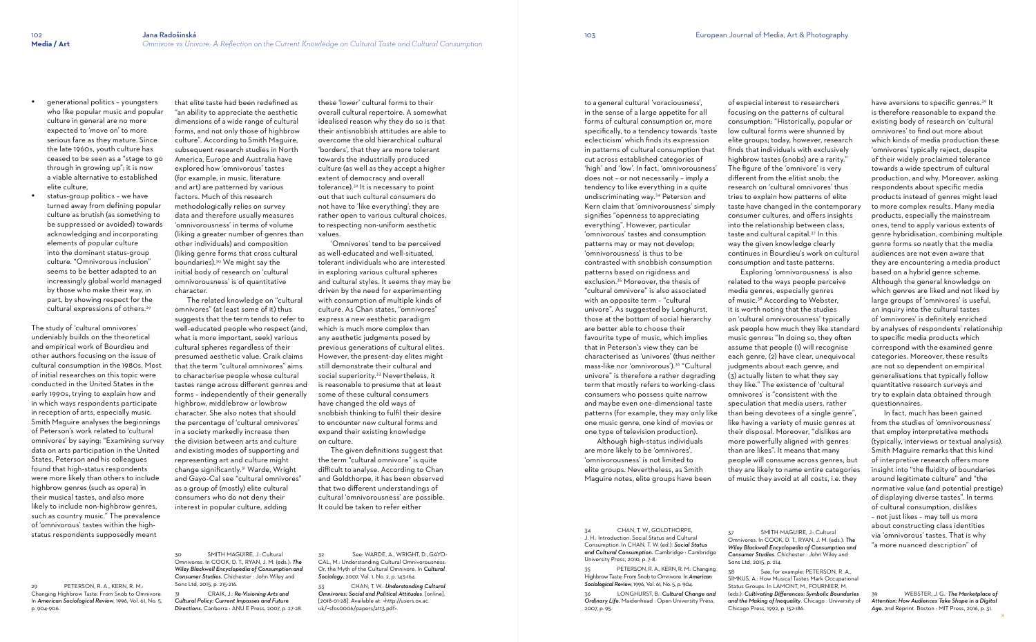- qenerational politics youngsters who like popular music and popular culture in general are no more expected to 'move on' to more serious fare as they mature. Since the late 1960s, youth culture has ceased to be seen as a "stage to go through in growing up"; it is now a viable alternative to established elite culture,
- status-group politics we have turned away from defining popular culture as brutish (as something to be suppressed or avoided) towards acknowledging and incorporating elements of popular culture into the dominant status-group culture. "Omnivorous inclusion" seems to be better adapted to an increasingly global world managed by those who make their way, in part, by showing respect for the cultural expressions of others.<sup>29</sup>

The study of 'cultural omnivores' undeniably builds on the theoretical and empirical work of Bourdieu and other authors focusing on the issue of cultural consumption in the 1980s. Most of initial researches on this topic were conducted in the United States in the early 1990s, trying to explain how and in which ways respondents participate in reception of arts, especially music. Smith Maguire analyses the beginnings of Peterson's work related to 'cultural omnivores' by saying: "Examining survey data on arts participation in the United States, Peterson and his colleagues found that high-status respondents were more likely than others to include highbrow genres (such as opera) in their musical tastes, and also more likely to include non-highbrow genres, such as country music." The prevalence of 'omnivorous' tastes within the highstatus respondents supposedly meant

29 PETERSON, R. A., KERN, R. M.: Changing Highbrow Taste: From Snob to Omnivore. In *American Sociological Review*, 1996, Vol. 61, No. 5, p. 904-906.

that elite taste had been redefined as "an ability to appreciate the aesthetic dimensions of a wide range of cultural forms, and not only those of highbrow culture". According to Smith Maguire, subsequent research studies in North America, Europe and Australia have explored how 'omnivorous' tastes (for example, in music, literature and art) are patterned by various factors. Much of this research methodologically relies on survey data and therefore usually measures 'omnivorousness' in terms of volume (liking a greater number of genres than other individuals) and composition (liking genre forms that cross cultural boundaries).30 We might say the initial body of research on 'cultural omnivorousness' is of quantitative character.

 The related knowledge on "cultural omnivores" (at least some of it) thus suggests that the term tends to refer to well-educated people who respect (and, what is more important, seek) various cultural spheres regardless of their presumed aesthetic value. Craik claims that the term "cultural omnivores" aims to characterise people whose cultural tastes range across different genres and forms – independently of their generally highbrow, middlebrow or lowbrow character. She also notes that should the percentage of 'cultural omnivores' in a society markedly increase then the division between arts and culture and existing modes of supporting and representing art and culture might change significantly.31 Warde, Wright and Gayo-Cal see "cultural omnivores" as a group of (mostly) elite cultural consumers who do not deny their interest in popular culture, adding

30 SMITH MAGUIRE, J.: Cultural Omnivores. In COOK, D. T., RYAN, J. M. (eds.): *The Wiley Blackwell Encyclopedia of Consumption and Consumer Studies.* Chichester : John Wiley and Sons Ltd, 2015, p. 215-216.

CHAN, T. W., GOLDTHORPE, J. H.: Introduction: Social Status and Cultural Consumption. In CHAN, T. W. (ed.): *Social Status and Cultural Consumption.* Cambridge : Cambridge University Press, 2010, p. 7-8.

31 CRAIK, J.: *Re-Visioning Arts and Cultural Policy: Current Impasses and Future Directions.* Canberra : ANU E Press, 2007, p. 27-28. these 'lower' cultural forms to their overall cultural repertoire. A somewhat idealised reason why they do so is that their antisnobbish attitudes are able to overcome the old hierarchical cultural 'borders', that they are more tolerant towards the industrially produced culture (as well as they accept a higher extent of democracy and overall tolerance).32 It is necessary to point out that such cultural consumers do not have to 'like everything'; they are rather open to various cultural choices, to respecting non-uniform aesthetic values.

 'Omnivores' tend to be perceived as well-educated and well-situated, tolerant individuals who are interested in exploring various cultural spheres and cultural styles. It seems they may be driven by the need for experimenting with consumption of multiple kinds of culture. As Chan states, "omnivores" express a new aesthetic paradigm which is much more complex than any aesthetic judgments posed by previous generations of cultural elites. However, the present-day elites might still demonstrate their cultural and social superiority.<sup>33</sup> Nevertheless, it is reasonable to presume that at least some of these cultural consumers have changed the old ways of snobbish thinking to fulfil their desire to encounter new cultural forms and expand their existing knowledge on culture.

> See, for example: PETERSON, R. A., SIMKUS, A.: How Musical Tastes Mark Occupational Status Groups. In LAMONT, M., FOURNIER, M. (eds.): *Cultivating Differences: Symbolic Boundaries and the Making of Inequality*. Chicago : University of Chicago Press, 1992, p. 152-186.

 The given definitions suggest that the term "cultural omnivore" is quite difficult to analyse. According to Chan and Goldthorpe, it has been observed that two different understandings of cultural 'omnivorousness' are possible. It could be taken to refer either

32 See: WARDE, A., WRIGHT, D., GAYO-CAL, M.: Understanding Cultural Omnivorousness: Or, the Myth of the Cultural Omnivore. In *Cultural Sociology*, 2007, Vol. 1, No. 2, p. 143-164.

33 CHAN, T. W.: *Understanding Cultural Omnivores: Social and Political Attitudes*. [online]. [2018-01-28]. Available at: <http://users.ox.ac. uk/~sfos0006/papers/att3.pdf>.

to a general cultural 'voraciousness', in the sense of a large appetite for all forms of cultural consumption or, more specifically, to a tendency towards 'taste eclecticism' which finds its expression in patterns of cultural consumption that cut across established categories of 'high' and 'low'. In fact, 'omnivorousness' does not – or not necessarily – imply a tendency to like everything in a quite undiscriminating way.34 Peterson and Kern claim that 'omnivorousness' simply signifies "openness to appreciating everything". However, particular 'omnivorous' tastes and consumption patterns may or may not develop; 'omnivorousness' is thus to be contrasted with snobbish consumption patterns based on rigidness and exclusion.35 Moreover, the thesis of "cultural omnivore" is also associated with an opposite term – "cultural univore". As suggested by Longhurst, those at the bottom of social hierarchy are better able to choose their favourite type of music, which implies that in Peterson's view they can be characterised as 'univores' (thus neither mass-like nor 'omnivorous').36 "Cultural univore" is therefore a rather degrading term that mostly refers to working-class consumers who possess quite narrow and maybe even one-dimensional taste patterns (for example, they may only like one music genre, one kind of movies or one type of television production).

 Although high-status individuals are more likely to be 'omnivores', 'omnivorousness' is not limited to elite groups. Nevertheless, as Smith Maguire notes, elite groups have been

35 PETERSON, R. A., KERN, R. M.: Changing Highbrow Taste: From Snob to Omnivore. In *American Sociological Review*, 1996, Vol. 61, No. 5, p. 904.

36 LONGHURST, B.: *Cultural Change and Ordinary Life.* Maidenhead : Open University Press, 2007, p. 95.

of especial interest to researchers focusing on the patterns of cultural consumption: "Historically, popular or low cultural forms were shunned by elite groups; today, however, research finds that individuals with exclusively highbrow tastes (snobs) are a rarity." The figure of the 'omnivore' is very different from the elitist snob; the research on 'cultural omnivores' thus tries to explain how patterns of elite taste have changed in the contemporary consumer cultures, and offers insights into the relationship between class, taste and cultural capital.37 In this way the given knowledge clearly continues in Bourdieu's work on cultural consumption and taste patterns. Exploring 'omnivorousness' is also related to the ways people perceive media genres, especially genres of music.38 According to Webster, it is worth noting that the studies on 'cultural omnivorousness' typically ask people how much they like standard music genres: "In doing so, they often assume that people (1) will recognise each genre, (2) have clear, unequivocal judgments about each genre, and (3) actually listen to what they say they like." The existence of 'cultural omnivores' is "consistent with the speculation that media users, rather than being devotees of a single genre", like having a variety of music genres at their disposal. Moreover, "dislikes are more powerfully aligned with genres than are likes". It means that many people will consume across genres, but they are likely to name entire categories

of music they avoid at all costs, i.e. they

37 SMITH MAGUIRE, J.: Cultural Omnivores. In COOK, D. T., RYAN, J. M. (eds.): *The Wiley Blackwell Encyclopedia of Consumption and Consumer Studies*. Chichester : John Wiley and Sons Ltd, 2015, p. 214.

have aversions to specific genres. 39 It is therefore reasonable to expand the existing body of research on 'cultural omnivores' to find out more about which kinds of media production these 'omnivores' typically reject, despite of their widely proclaimed tolerance towards a wide spectrum of cultural production, and why. Moreover, asking respondents about specific media products instead of genres might lead to more complex results. Many media products, especially the mainstream ones, tend to apply various extents of genre hybridisation, combining multiple genre forms so neatly that the media audiences are not even aware that they are encountering a media product based on a hybrid genre scheme. Although the general knowledge on which genres are liked and not liked by large groups of 'omnivores' is useful, an inquiry into the cultural tastes of 'omnivores' is definitely enriched by analyses of respondents' relationship to specific media products which correspond with the examined genre categories. Moreover, these results are not so dependent on empirical generalisations that typically follow quantitative research surveys and try to explain data obtained through questionnaires.

 In fact, much has been gained from the studies of 'omnivorousness' that employ interpretative methods (typically, interviews or textual analysis). Smith Maguire remarks that this kind of interpretive research offers more insight into "the fluidity of boundaries around legitimate culture" and "the normative value (and potential prestige) of displaying diverse tastes". In terms of cultural consumption, dislikes – not just likes – may tell us more about constructing class identities via 'omnivorous' tastes. That is why "a more nuanced description" of

39 WEBSTER, J. G.: *The Marketplace of Attention: How Audiences Take Shape in a Digital Age.* 2nd Reprint. Boston : MIT Press, 2016, p. 31.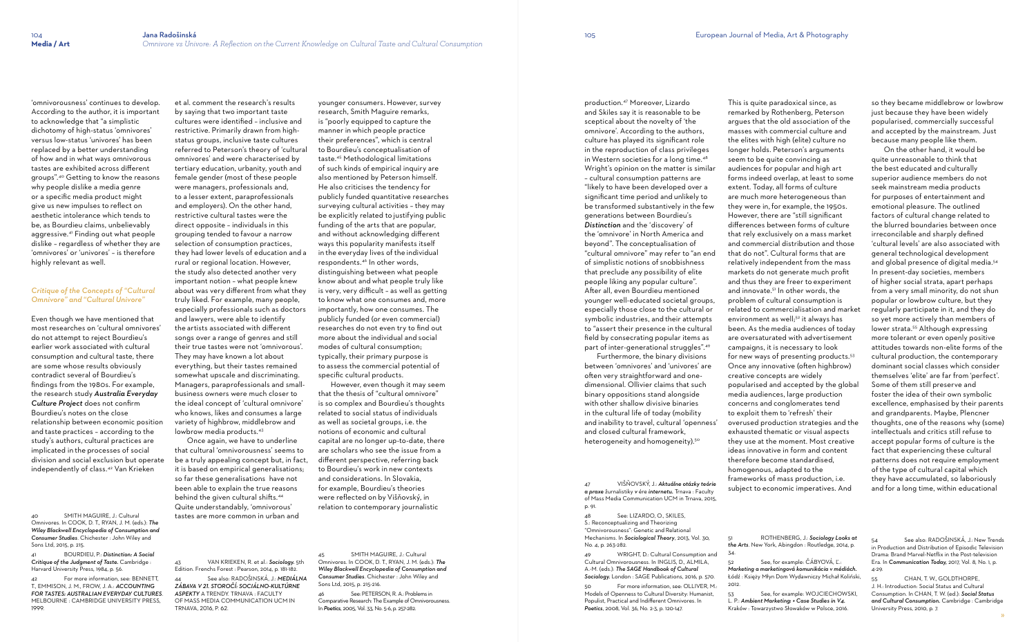'omnivorousness' continues to develop. According to the author, it is important to acknowledge that "a simplistic dichotomy of high-status 'omnivores' versus low-status 'univores' has been replaced by a better understanding of how and in what ways omnivorous tastes are exhibited across different groups".40 Getting to know the reasons why people dislike a media genre or a specific media product might give us new impulses to reflect on aesthetic intolerance which tends to be, as Bourdieu claims, unbelievably aggressive.41 Finding out what people dislike – regardless of whether they are 'omnivores' or 'univores' – is therefore highly relevant as well.

#### *Critique of the Concepts of "Cultural Omnivore" and "Cultural Univore"*

For more information, see: BENNETT, T., EMMISON, J. M., FROW, J. A.: *ACCOUNTING FOR TASTES: AUSTRALIAN EVERYDAY CULTURES*. MELBOURNE : CAMBRIDGE UNIVERSITY PRESS, 1999.

cultures were identified – inclusive and restrictive. Primarily drawn from highstatus groups, inclusive taste cultures referred to Peterson's theory of 'cultural omnivores' and were characterised by tertiary education, urbanity, youth and female gender (most of these people were managers, professionals and, to a lesser extent, paraprofessionals and employers). On the other hand, restrictive cultural tastes were the direct opposite – individuals in this grouping tended to favour a narrow selection of consumption practices, they had lower levels of education and a rural or regional location. However, the study also detected another very important notion – what people knew about was very different from what they truly liked. For example, many people, especially professionals such as doctors and lawyers, were able to identify the artists associated with different songs over a range of genres and still their true tastes were not 'omnivorous'. They may have known a lot about everything, but their tastes remained somewhat upscale and discriminating. Managers, paraprofessionals and smallbusiness owners were much closer to the ideal concept of 'cultural omnivore' who knows, likes and consumes a large variety of highbrow, middlebrow and lowbrow media products.<sup>43</sup>

Even though we have mentioned that most researches on 'cultural omnivores' do not attempt to reject Bourdieu's earlier work associated with cultural consumption and cultural taste, there are some whose results obviously contradict several of Bourdieu's findings from the 1980s. For example, the research study *Australia Everyday Culture Project* does not confirm Bourdieu's notes on the close relationship between economic position and taste practices – according to the study's authors, cultural practices are implicated in the processes of social division and social exclusion but operate independently of class.42 Van Krieken

41 BOURDIEU, P.: *Distinction: A Social Critique of the Judgment of Taste.* Cambridge : Harvard University Press, 1984, p. 56.

et al. comment the research's results by saying that two important taste

> Furthermore, the binary divisions between 'omnivores' and 'univores' are often very straightforward and onedimensional. Ollivier claims that such binary oppositions stand alongside with other shallow divisive binaries in the cultural life of today (mobility and inability to travel, cultural 'openness' and closed cultural framework, heterogeneity and homogeneity).<sup>50</sup>

 Once again, we have to underline that cultural 'omnivorousness' seems to be a truly appealing concept but, in fact, it is based on empirical generalisations; so far these generalisations have not been able to explain the true reasons behind the given cultural shifts.<sup>44</sup> Quite understandably, 'omnivorous' tastes are more common in urban and

See: LIZARDO, O., SKILES, S.: Reconceptualizing and Theorizing "Omnivorousness": Genetic and Relational Mechanisms. In *Sociological Theory*, 2013, Vol. 30, No. 4, p. 263-282.

43 VAN KRIEKEN, R. et al.: *Sociology.* 5th Edition. Frenchs Forest : Pearson, 2014, p. 181-182. 44 See also: RADOŠINSKÁ, J.: *MEDIÁLNA ZÁBAVA V 21. STOROČÍ: SOCIÁLNO-KULTÚRNE ASPEKTY* A TRENDY. TRNAVA : FACULTY OF MASS MEDIA COMMUNICATION UCM IN TRNAVA, 2016, P. 62.

WRIGHT, D.: Cultural Consumption and Cultural Omnivorousness. In INGLIS, D., ALMILA, A.-M. (eds.): *The SAGE Handbook of Cultural Sociology.* London : SAGE Publications, 2016, p. 570.

younger consumers. However, survey research, Smith Maguire remarks, is "poorly equipped to capture the manner in which people practice their preferences", which is central to Bourdieu's conceptualisation of taste.45 Methodological limitations of such kinds of empirical inquiry are also mentioned by Peterson himself. He also criticises the tendency for publicly funded quantitative researches surveying cultural activities – they may be explicitly related to justifying public funding of the arts that are popular, and without acknowledging different ways this popularity manifests itself in the everyday lives of the individual respondents.46 In other words, distinguishing between what people know about and what people truly like is very, very difficult – as well as getting to know what one consumes and, more importantly, how one consumes. The publicly funded (or even commercial) researches do not even try to find out more about the individual and social modes of cultural consumption; typically, their primary purpose is to assess the commercial potential of specific cultural products.

> See, for example: ČÁBYOVÁ, Ľ.: *Marketing a marketingová komunikácia v médiách.* Łódź : Księży Młyn Dom Wydawniczy Michał Koliński, 2012.

See, for example: WOJCIECHOWSKI, L. P.: *Ambient Marketing: + Case Studies in V4.* Kraków : Towarzystwo Słowaków w Polsce, 2016.

 However, even though it may seem that the thesis of "cultural omnivore" is so complex and Bourdieu's thoughts related to social status of individuals as well as societal groups, i.e. the notions of economic and cultural capital are no longer up-to-date, there are scholars who see the issue from a different perspective, referring back to Bourdieu's work in new contexts and considerations. In Slovakia, for example, Bourdieu's theories were reflected on by Višňovský, in relation to contemporary journalistic

45 SMITH MAGUIRE, J.: Cultural Omnivores. In COOK, D. T., RYAN, J. M. (eds.): *The Wiley Blackwell Encyclopedia of Consumption and Consumer Studies*. Chichester : John Wiley and Sons Ltd, 2015, p. 215-216.

See also: RADOŠINSKÁ, J.: New Trends in Production and Distribution of Episodic Television Drama: Brand Marvel-Netflix in the Post-television Era. In *Communication Today,* 2017, Vol. 8, No. 1, p. 4-29.

46 See: PETERSON, R. A.: Problems in Comparative Research: The Example of Omnivorousness. In *Poetics*, 2005, Vol. 33, No. 5-6, p. 257-282.

CHAN, T. W., GOLDTHORPE, J. H.: Introduction: Social Status and Cultural Consumption. In CHAN, T. W. (ed.): *Social Status and Cultural Consumption.* Cambridge : Cambridge University Press, 2010, p. 7.

production.47 Moreover, Lizardo and Skiles say it is reasonable to be sceptical about the novelty of 'the omnivore'. According to the authors, culture has played its significant role in the reproduction of class privileges in Western societies for a long time.<sup>48</sup> Wright's opinion on the matter is similar – cultural consumption patterns are "likely to have been developed over a significant time period and unlikely to be transformed substantively in the few generations between Bourdieu's *Distinction* and the 'discovery' of the 'omnivore' in North America and beyond". The conceptualisation of "cultural omnivore" may refer to "an end of simplistic notions of snobbishness that preclude any possibility of elite people liking any popular culture". After all, even Bourdieu mentioned younger well-educated societal groups, especially those close to the cultural or symbolic industries, and their attempts to "assert their presence in the cultural field by consecrating popular items as part of inter-generational struggles".<sup>49</sup>

47 VIŠŇOVSKÝ, J.: *Aktuálne otázky teórie a praxe* žurnalistiky *v* ére *internetu.* Trnava : Faculty of Mass Media Communication UCM in Trnava, 2015, p. 91.

50 For more information, see: OLLIVER, M.: Models of Openness to Cultural Diversity: Humanist, Populist, Practical and Indifferent Omnivores. In *Poetics*, 2008, Vol. 36, No. 2-3, p. 120-147.

This is quite paradoxical since, as remarked by Rothenberg, Peterson argues that the old association of the masses with commercial culture and the elites with high (elite) culture no longer holds. Peterson's arguments seem to be quite convincing as audiences for popular and high art forms indeed overlap, at least to some extent. Today, all forms of culture are much more heterogeneous than they were in, for example, the 1950s. However, there are "still significant differences between forms of culture that rely exclusively on a mass market and commercial distribution and those that do not". Cultural forms that are relatively independent from the mass markets do not generate much profit and thus they are freer to experiment and innovate.51 In other words, the problem of cultural consumption is related to commercialisation and market environment as well:<sup>52</sup> it always has been. As the media audiences of today are oversaturated with advertisement campaigns, it is necessary to look for new ways of presenting products.<sup>53</sup> Once any innovative (often highbrow) creative concepts are widely popularised and accepted by the global media audiences, large production concerns and conglomerates tend to exploit them to 'refresh' their overused production strategies and the exhausted thematic or visual aspects they use at the moment. Most creative ideas innovative in form and content therefore become standardised, homogenous, adapted to the frameworks of mass production, i.e.

subject to economic imperatives. And

51 ROTHENBERG, J.: *Sociology Looks at the Arts*. New York, Abingdon : Routledge, 2014, p.

34.

so they became middlebrow or lowbrow just because they have been widely popularised, commercially successful and accepted by the mainstream. Just because many people like them.

 On the other hand, it would be quite unreasonable to think that the best educated and culturally superior audience members do not seek mainstream media products for purposes of entertainment and emotional pleasure. The outlined factors of cultural change related to the blurred boundaries between once irreconcilable and sharply defined 'cultural levels' are also associated with general technological development and global presence of digital media. 54 In present-day societies, members of higher social strata, apart perhaps from a very small minority, do not shun popular or lowbrow culture, but they regularly participate in it, and they do so yet more actively than members of lower strata. 55 Although expressing more tolerant or even openly positive attitudes towards non-elite forms of the cultural production, the contemporary dominant social classes which consider themselves 'elite' are far from 'perfect'. Some of them still preserve and foster the idea of their own symbolic excellence, emphasised by their parents and grandparents. Maybe, Plencner thoughts, one of the reasons why (some) intellectuals and critics still refuse to accept popular forms of culture is the fact that experiencing these cultural patterns does not require employment of the type of cultural capital which they have accumulated, so laboriously and for a long time, within educational

<sup>40</sup> SMITH MAGUIRE, J.: Cultural Omnivores. In COOK, D. T., RYAN, J. M. (eds.): *The Wiley Blackwell Encyclopedia of Consumption and Consumer Studies*. Chichester : John Wiley and Sons Ltd, 2015, p. 215.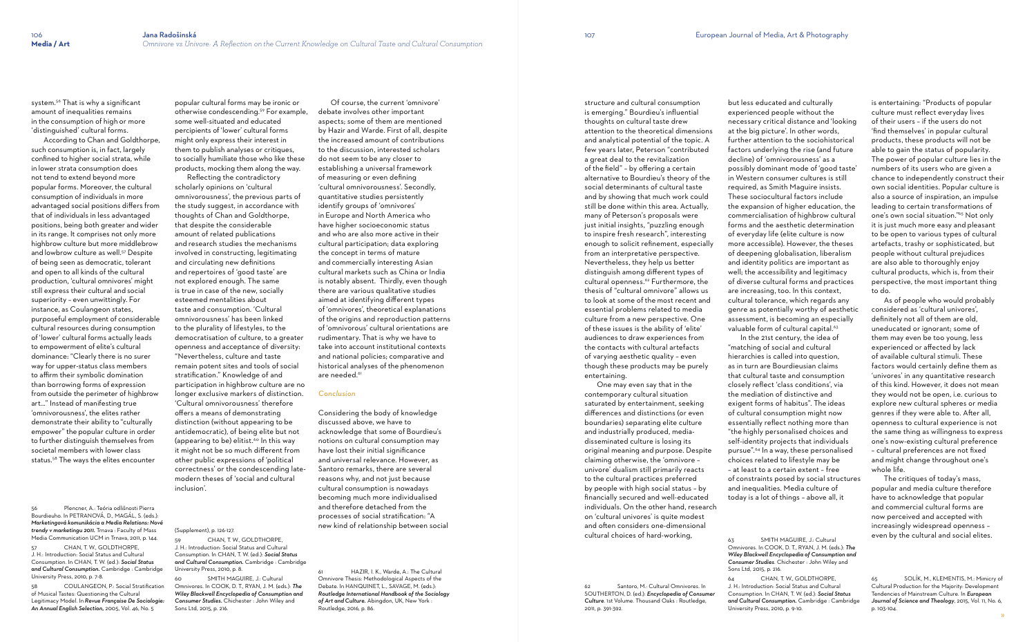**Media / Art** *Omnivore vs Univore: A Reflection on the Current Knowledge on Cultural Taste and Cultural Consumption*

system.<sup>56</sup> That is why a significant amount of inequalities remains in the consumption of high or more 'distinguished' cultural forms.

 According to Chan and Goldthorpe, such consumption is, in fact, largely confined to higher social strata, while in lower strata consumption does not tend to extend beyond more popular forms. Moreover, the cultural consumption of individuals in more advantaged social positions differs from that of individuals in less advantaged positions, being both greater andwider in its range. It comprises not only more highbrow culture but more middlebrow and lowbrow culture as well.<sup>57</sup> Despite of being seen as democratic, tolerant and open to all kinds of the cultural production, 'cultural omnivores' might still express their cultural and social superiority – even unwittingly. For instance, as Coulangeon states, purposeful employment of considerable cultural resources during consumption of 'lower' cultural forms actually leads to empowerment of elite's cultural dominance: "Clearly there is no surer way for upper-status class members to affirm their symbolic domination than borrowing forms of expression from outside the perimeter of highbrow art…" Instead of manifesting true 'omnivorousness', the elites rather demonstrate their ability to "culturally empower" the popular culture in order to further distinguish themselves from societal members with lower class status.58 The ways the elites encounter

CHAN, T. W., GOLDTHORPE, J. H.: Introduction: Social Status and Cultural Consumption. In CHAN, T. W. (ed.): *Social Status and Cultural Consumption.* Cambridge : Cambridge University Press, 2010, p. 7-8.

56 Plencner, A.: Teória odlišnosti Pierra Bourdieuho. In PETRANOVÁ, D., MAGÁL, S. (eds.): *Marketingová komunikácia a Media Relations: Nové trendy v marketingu 2011.* Trnava : Faculty of Mass Media Communication UCM in Trnava, 2011, p. 144.

> SMITH MAGUIRE, J.: Cultural Omnivores. In COOK, D. T., RYAN, J. M. (eds.): *The Wiley Blackwell Encyclopedia of Consumption and Consumer Studies.* Chichester : John Wiley and Sons Ltd, 2015, p. 216.

 Of course, the current 'omnivore' debate involves other important aspects; some of them are mentioned by Hazir and Warde. First of all, despite the increased amount of contributions to the discussion, interested scholars do not seem to be any closer to establishing a universal framework of measuring or even defining 'cultural omnivorousness'. Secondly, quantitative studies persistently identify groups of 'omnivores' in Europe and North America who have higher socioeconomic status and who are also more active in their cultural participation; data exploring the concept in terms of mature and commercially interesting Asian cultural markets such as China or India is notably absent. Thirdly, even though there are various qualitative studies aimed at identifying different types of 'omnivores', theoretical explanations of the origins and reproduction patterns of 'omnivorous' cultural orientations are rudimentary. That is why we have to take into account institutional contexts and national policies; comparative and historical analyses of the phenomenon are needed.<sup>61</sup>

58 COULANGEON, P.: Social Stratification of Musical Tastes: Questioning the Cultural Legitimacy Model. In *Revue Française De Sociologie: An Annual English Selection,* 2005, Vol. 46, No. 5

popular cultural forms may be ironic or otherwise condescending.59 For example, some well-situated and educated percipients of 'lower' cultural forms might only express their interest in them to publish analyses or critiques, to socially humiliate those who like these products, mocking them along theway.

 Reflecting the contradictory scholarly opinions on 'cultural omnivorousness', the previous parts of the study suggest, in accordance with thoughts of Chan and Goldthorpe, that despite the considerable amount of related publications and research studies the mechanisms involved in constructing, legitimating and circulating new definitions and repertoires of 'good taste' are not explored enough. The same is true in case of the new, socially esteemed mentalities about taste and consumption. 'Cultural omnivorousness' has been linked to the plurality of lifestyles, to the democratisation of culture, to a greater openness and acceptance of diversity: "Nevertheless, culture and taste remain potent sites and tools of social stratification." Knowledge of and participation in highbrow culture are no longer exclusive markers of distinction. 'Cultural omnivorousness' therefore offers a means of demonstrating distinction (without appearing to be antidemocratic), of being elite but not (appearing to be) elitist.<sup>60</sup> In this way it might not be so much different from other public expressions of 'political correctness' or the condescending latemodern theses of 'social and cultural inclusion'.

#### (Supplement), p. 126-127.

59 CHAN, T. W., GOLDTHORPE, J. H.: Introduction: Social Status and Cultural Consumption. In CHAN, T. W. (ed.): *Social Status and Cultural Consumption.* Cambridge : Cambridge University Press, 2010, p. 8.

> Santoro, M.: Cultural Omnivores. In SOUTHERTON, D. (ed.): *Encyclopedia of Consumer Culture*. 1st Volume. Thousand Oaks : Routledge, 2011, p. 391-392.

SMITH MAGUIRE, J.: Cultural Omnivores. In COOK, D. T., RYAN, J. M. (eds.): *The Wiley Blackwell Encyclopedia of Consumption and Consumer Studies*. Chichester : John Wiley and

#### *Conclusion*

Considering the body of knowledge discussed above, we have to acknowledge that some of Bourdieu's notions on cultural consumption may have lost their initial significance and universal relevance. However, as Santoro remarks, there are several reasons why, and not just because cultural consumption is nowadays becoming much more individualised and therefore detached from the processes of social stratification: "A new kind of relationship between social

61 HAZIR, I. K., Warde, A.: The Cultural Omnivore Thesis: Methodological Aspects of the Debate. In HANQUINET, L., SAVAGE, M. (eds.): *Routledge International Handbook of the Sociology of Art and Culture.* Abingdon, UK, New York : Routledge, 2016, p. 86.

» 65 SOLÍK, M., KLEMENTIS, M.: Mimicry of Cultural Production for the Majority: Development Tendencies of Mainstream Culture. In *European Journal of Science and Theology*, 2015, Vol. 11, No. 6, p. 103-104.

structure and cultural consumption is emerging." Bourdieu's influential thoughts on cultural taste drew attention to the theoretical dimensions and analytical potential of the topic. A few years later, Peterson "contributed a great deal to the revitalization of the field" – by offering a certain alternative to Bourdieu's theory of the social determinants of cultural taste and by showing that much work could still be done within this area. Actually, many of Peterson's proposals were just initial insights, "puzzling enough to inspire fresh research", interesting enough to solicit refinement, especially from an interpretative perspective. Nevertheless, they help us better distinguish among different types of cultural openness.<sup>62</sup> Furthermore, the thesis of "cultural omnivore" allows us to look at some of the most recent and essential problems related to media culture from a new perspective. One of these issues is the ability of 'elite' audiences to draw experiences from the contacts with cultural artefacts of varying aesthetic quality – even though these products may be purely

entertaining.

 One may even say that in the contemporary cultural situation saturated by entertainment, seeking differences and distinctions (or even boundaries) separating elite culture and industrially produced, mediadisseminated culture is losing its original meaning and purpose. Despite claiming otherwise, the 'omnivore – univore' dualism still primarily reacts to the cultural practices preferred by people with high social status – by financially secured and well-educated individuals. On the other hand, research on 'cultural univores' is quite modest and often considers one-dimensional cultural choices of hard-working,

necessary critical distance and 'looking at the big picture'. In other words, further attention to the sociohistorical factors underlying the rise (and future decline) of 'omnivorousness' as a possibly dominant mode of 'good taste' in Western consumer cultures is still required, as Smith Maguire insists. These sociocultural factors include the expansion of higher education, the commercialisation of highbrow cultural forms and the aesthetic determination of everyday life (elite culture is now more accessible). However, the theses of deepening globalisation, liberalism and identity politics are important as well; the accessibility and legitimacy of diverse cultural forms and practices are increasing, too. In this context, cultural tolerance, which regards any genre as potentially worthy of aesthetic assessment, is becoming an especially valuable form of cultural capital.<sup>63</sup> In the 21st century, the idea of hierarchies is called into question, as in turn are Bourdieusian claims that cultural taste and consumption closely reflect 'class conditions', via exigent forms of habitus". The ideas of cultural consumption might now essentially reflect nothing more than "the highly personalised choices and self-identity projects that individuals pursue".64 In a way, these personalised choices related to lifestyle may be – at least to a certain extent – free of constraints posed by social structures and inequalities. Media culture of today is a lot of things – above all, it

Sons Ltd, 2015, p. 216.

64 CHAN, T. W., GOLDTHORPE, J. H.: Introduction: Social Status and Cultural Consumption. In CHAN, T. W. (ed.): *Social Status and Cultural Consumption.* Cambridge : Cambridge University Press, 2010, p. 9-10.

is entertaining: "Products of popular culture must reflect everyday lives of their users – if the users do not 'find themselves' in popular cultural products, these products will not be able to gain the status of popularity. The power of popular culture lies in the numbers of its users who are given a chance to independently construct their own social identities. Popular culture is also a source of inspiration, an impulse leading to certain transformations of one's own social situation." 65 Not only it is just much more easy and pleasant to be open to various types of cultural artefacts, trashy or sophisticated, but people without cultural prejudices are also able to thoroughly enjoy cultural products, which is, from their perspective, the most important thing to do.

 As of people who would probably considered as 'cultural univores', definitely not all of them are old, uneducated or ignorant; some of them may even be too young, less experienced or affected by lack of available cultural stimuli. These factors would certainly define them as 'univores' in any quantitative research of this kind. However, it does not mean they would not be open, i.e. curious to explore new cultural spheres or media genres if they were able to. After all, openness to cultural experience is not the same thing as willingness to express one's now-existing cultural preference – cultural preferences are not fixed and might change throughout one's whole life.

 The critiques of today's mass, popular and media culture therefore have to acknowledge that popular and commercial cultural forms are now perceived and accepted with increasingly widespread openness – even by the cultural and social elites.